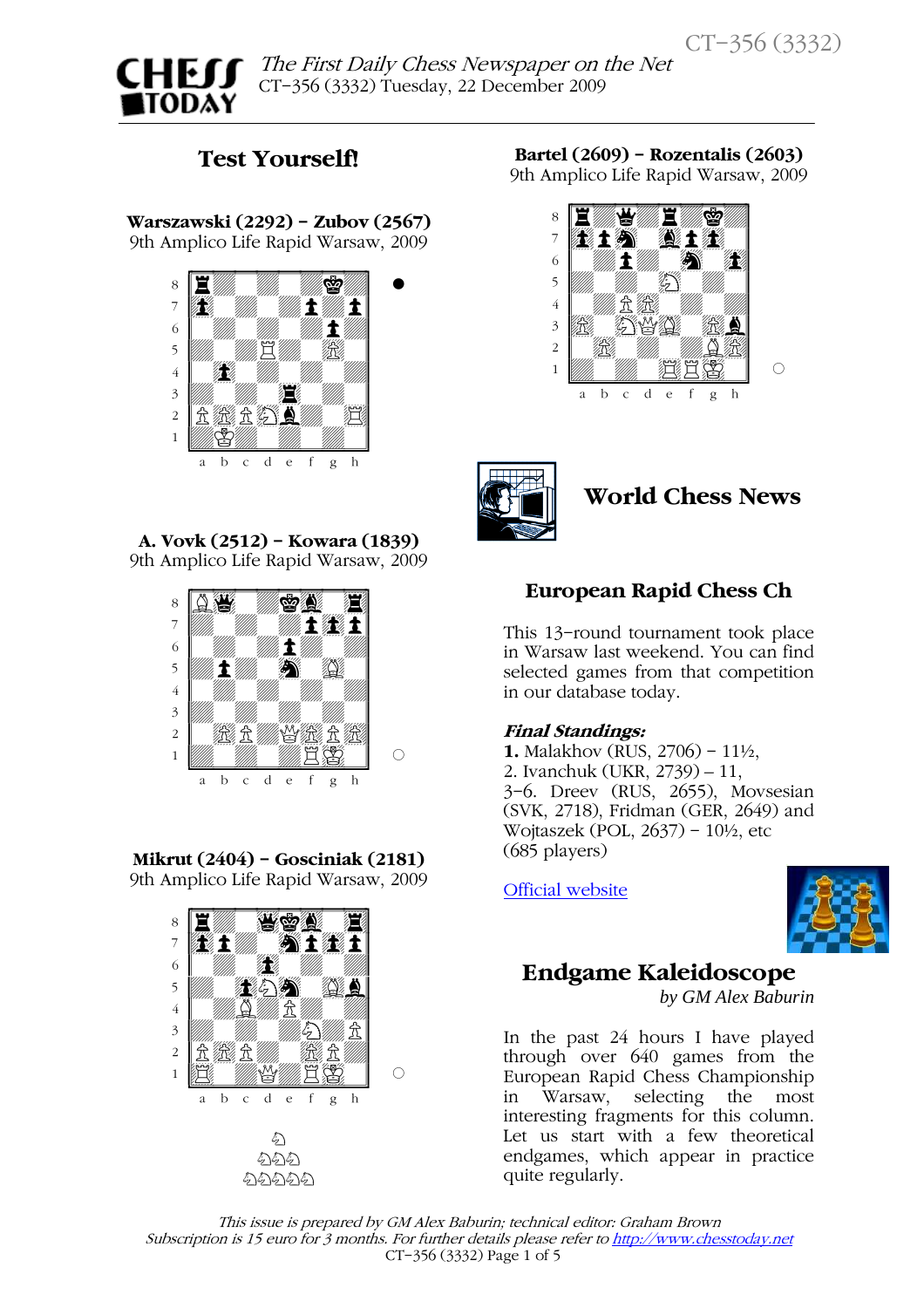

 The First Daily Chess Newspaper on the Net  $\ddot{\phantom{0}}$ CT-356 (3332) Tuesday, 22 December 2009

## Test Yourself!

Warszawski (2292) - Zubov (2567) 9th Amplico Life Rapid Warsaw, 2009



A. Vovk (2512) - Kowara (1839) 9th Amplico Life Rapid Warsaw, 2009



Mikrut (2404) - Gosciniak (2181) 9th Amplico Life Rapid Warsaw, 2009



Bartel (2609) - Rozentalis (2603) 9th Amplico Life Rapid Warsaw, 2009





# World Chess News

## European Rapid Chess Ch

This 13-round tournament took place in Warsaw last weekend. You can find selected games from that competition in our database today.

### Final Standings:

1. Malakhov (RUS, 2706) - 11½, 2. Ivanchuk (UKR, 2739) – 11, 3-6. Dreev (RUS, 2655), Movsesian (SVK, 2718), Fridman (GER, 2649) and Wojtaszek (POL, 2637) - 10½, etc (685 players)

[Official website](http://www.poloniachess.pl/amplico2009/)



## Endgame Kaleidoscope

*by GM Alex Baburin* 

In the past 24 hours I have played through over 640 games from the European Rapid Chess Championship in Warsaw, selecting the most interesting fragments for this column. Let us start with a few theoretical endgames, which appear in practice quite regularly.

This issue is prepared by GM Alex Baburin; technical editor: Graham Brown Subscription is 15 euro for 3 months. For further details please refer to http://www.chesstoday.net CT-356 (3332) Page 1 of 5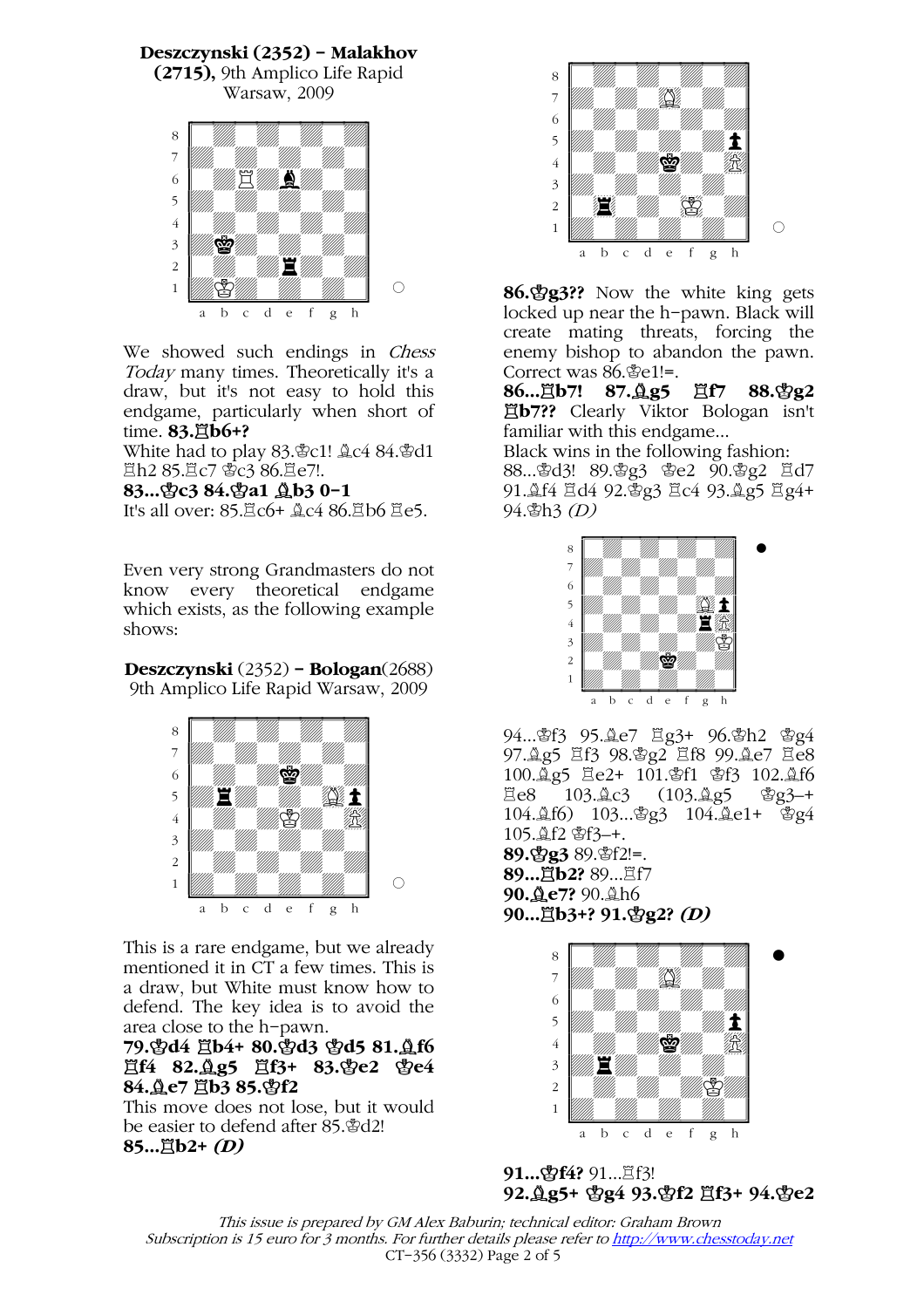### Deszczynski (2352) - Malakhov

(2715), 9th Amplico Life Rapid Warsaw, 2009



We showed such endings in *Chess* Today many times. Theoretically it's a draw, but it's not easy to hold this endgame, particularly when short of time.  $83.\n$   $\uparrow$   $166+?$ 

White had to play 83. c1! Ac4 84. Fd1 **\_n2 85. c7 \$c3 86. se7!.** 

#### 83...\c3 84.\c\$a1 \\ \ \ \ \ \ \ \ 0-1

It's all over: 85. $\Xi$ c6+  $\triangle$ c4 86. $\Xi$ b6  $\Xi$ e5.

Even very strong Grandmasters do not know every theoretical endgame which exists, as the following example shows:

## Deszczynski (2352) - Bologan(2688)

9th Amplico Life Rapid Warsaw, 2009



This is a rare endgame, but we already mentioned it in CT a few times. This is a draw, but White must know how to defend. The key idea is to avoid the area close to the h-pawn.

### 79.\$d4  $\overline{2}b4$ + 80.\$d3 \$d5 81. \$f6 買f4 82. g5 買f3+ 83. ge2 ge4 84. Åe7 Hb3 85. \$f2

This move does not lose, but it would be easier to defend after 85.\rightarrow  $85...$  $Bb2+(D)$ 



86.¢g3?? Now the white king gets locked up near the h-pawn. Black will create mating threats, forcing the enemy bishop to abandon the pawn. Correct was  $86.$  \$e1!=.<br>**86...**  $\vec{A}$ **b7! 87.**  $\hat{A}$  **g5** 

87. Qg5 Ef7 88.\$g2 ¦b7?? Clearly Viktor Bologan isn't familiar with this endgame...

Black wins in the following fashion: 88... \$d3! 89. \$g3 \$e2 90. \$g2 Ed7 91. **4**f4  $\Xi$ d4 92.  $\mathbb{Z}$ g3  $\Xi$ c4 93.  $\mathbb{Z}$ g5  $\Xi$ g4+ 94.¢h3 (D)



94...\$f3 95.Qe7  $\Xi$ g3+ 96.\$h2 \$g4 97.4g5 且f3 98.\$g2 且f8 99.4e7 且e8  $100.\frac{9}{4}g5$   $\Xi$ e2+  $101.\mathcal{B}f1$   $\mathcal{B}f3$   $102.\mathcal{B}f6$ <br> $\Xi$ e8  $103.\mathcal{A}c3$   $(103.\mathcal{A}g5$   $\mathcal{B}g3$ -+ ¦e8 103.¥c3 (103.¥g5 ¢g3–+ 104.¥f6) 103...¢g3 104.¥e1+ ¢g4 105.¥f2 ¢f3–+. 89. g3 89. f2!=. 89... 買b2? 89... Lf7 90.¥e7? 90.¥h6 90...買b3+? 91.\$g2? (D)



91... hf4? 91... 耳f3! 92. g5+ \$g4 93. \$f2 Ef3+ 94. \$e2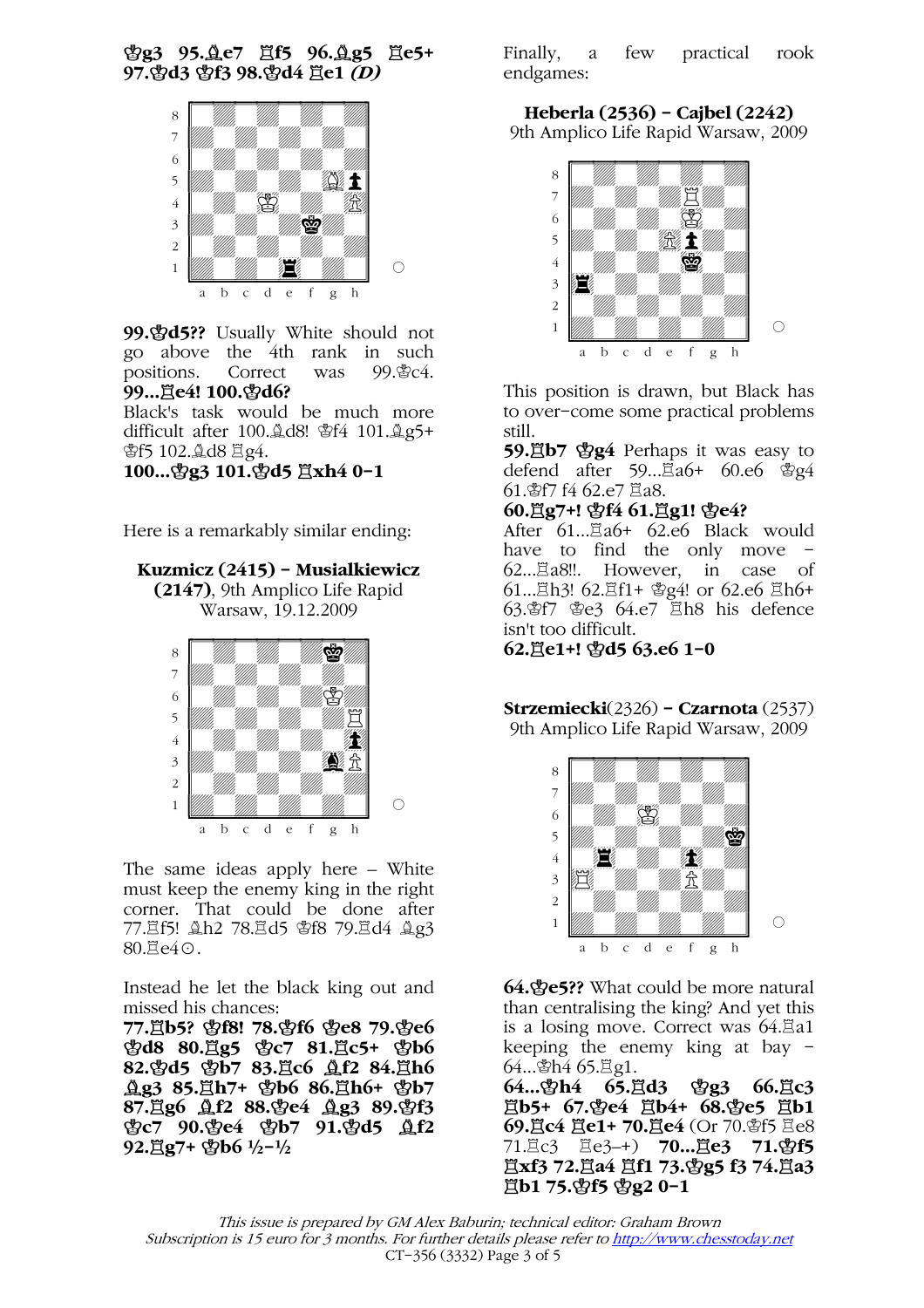¢g3 95.¥e7 ¦f5 96.¥g5 ¦e5+ 97. \$d3 \$f3 98. \$d4 耳e1 *(D)* 



99. $\mathcal{A}$ 33? Usually White should not go above the 4th rank in such<br>positions. Correct was 99. field. positions. Correct was 99...買e4! 100. gd6?

Black's task would be much more difficult after 100. $\&$ d8! \fead{4 101. $\&$ g5+ ¢f5 102.¥d8 ¦g4.

100...曾g3 101.曾d5 罝xh4 0-1

Here is a remarkably similar ending:

Kuzmicz (2415) - Musialkiewicz (2147), 9th Amplico Life Rapid

Warsaw, 19.12.2009



The same ideas apply here – White must keep the enemy king in the right corner. That could be done after 77. gf5! Ah2 78. gd5 \$f8 79. gd4 Ag3  $80.\Xi$ e $4\odot$ .

Instead he let the black king out and missed his chances:

77.¦b5? ¢f8! 78.¢f6 ¢e8 79.¢e6 常d8 80.買g5 常c7 81.買c5+ 常b6 82. \$d5 \$b7 83. Ac6 <u>Af2</u> 84. Ah6 **gg3 85.**gh7+ \$b6 86.gh6+ \$b7 87. g6 Af2 88. ge4 Ag3 89. gf3 ¢c7 90.¢e4 ¢b7 91.¢d5 ¥f2  $92.\overline{2}g7 + \text{g}b6 \frac{1}{2} - \frac{1}{2}$ 

Finally, a few practical rook endgames:

Heberla (2536) - Cajbel (2242) 9th Amplico Life Rapid Warsaw, 2009



This position is drawn, but Black has to over-come some practical problems still.

59. http://www.phaps it was easy to defend after 59...Ea6+ 60.e6 \$g4 61. f7 f4 62.e7 耳a8.

### 60. g7+! \$f4 61. g1! \$e4?

After 61… $\Xi$ a6+ 62.e6 Black would have to find the only move -62... $\Xi$ a8!!. However, in case of 61... Lh3! 62. Lf1+ 曾g4! or 62.e6 Lh6+  $63.\,$ \$f7 \&  $e3.64.\,e7$   $\Xi$ h8 his defence isn't too difficult.

62. ge1+! \\$d5 63.e6 1-0

#### Strzemiecki(2326) - Czarnota (2537) 9th Amplico Life Rapid Warsaw, 2009



64.¢e5?? What could be more natural than centralising the king? And yet this is a losing move. Correct was  $64.\overline{2}a1$ keeping the enemy king at bay -

64...<br>**64...むh4 65.罝d3** 64... *gh4* 65. gd3 *gg*3 66. gc3 ¦b5+ 67.¢e4 ¦b4+ 68.¢e5 ¦b1 69. dic4  $\overline{E}$ e1+ 70. de4 (Or 70. \$f5  $\overline{E}$ e8 71.罝c3 罝e3-+) **70...罝e3 71.\\$f5**  $\Xi$ xf3 72. $\Xi$ a4  $\Xi$ f1 73. $\Psi$ g5 f3 74. $\Xi$ a3  $\Xi$ **b1 75. \$f5 \$g2 0-1**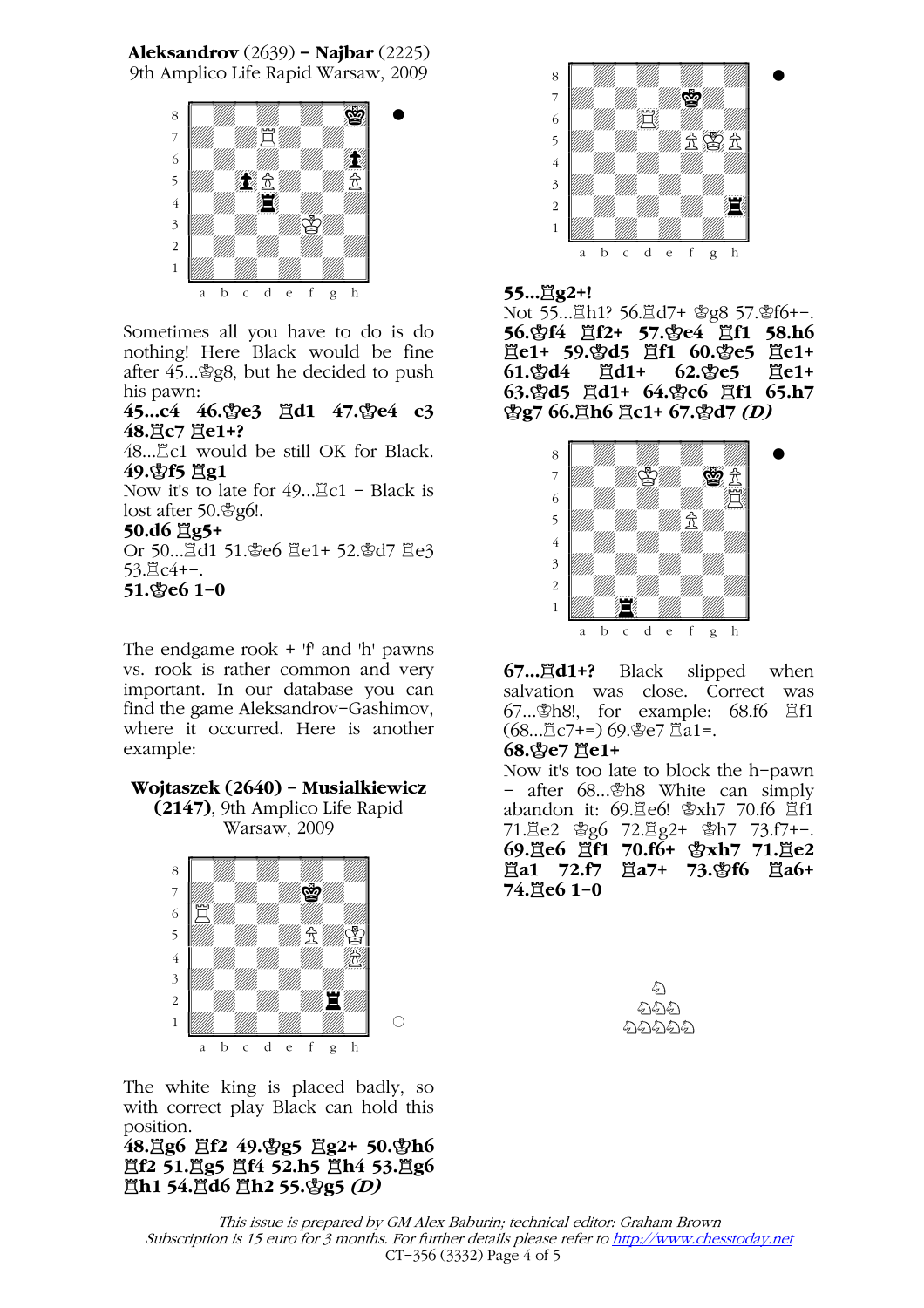Aleksandrov (2639) - Najbar (2225)

9th Amplico Life Rapid Warsaw, 2009



Sometimes all you have to do is do nothing! Here Black would be fine after  $45...$   $298$ , but he decided to push his pawn:

45...c4 46.\$e3  $\ddot{\text{g}}$ d1 47.\$e4 c3 48. LC7 He1+? 48....Ec1 would be still OK for Black.

49. f5 且g1

Now it's to late for  $49...$   $\mathbb{Z}$ c1 - Black is lost after 50. \$g6!.

## 50.d6 買g5+

Or 50...這d1 51.曾e6 罝e1+ 52.曾d7 罝e3 53. Lc4+-. 51.¢e6 1–0

The endgame rook + 'f' and 'h' pawns vs. rook is rather common and very important. In our database you can find the game Aleksandrov-Gashimov, where it occurred. Here is another example:

## Wojtaszek (2640) – Musialkiewicz

(2147), 9th Amplico Life Rapid Warsaw, 2009



The white king is placed badly, so with correct play Black can hold this position.

 $48.$   $\frac{36}{26}$   $\frac{362}{49.}$   $\frac{49.8}{25}$   $\frac{362}{16}$   $50.$   $\frac{481}{66}$  $\sharp$ f2 51. $\sharp$ g5  $\sharp$ f4 52.h5  $\sharp$ h4 53. $\sharp$ g6 **買h1 54.買d6 買h2 55.\$g5 (D)** 



### 55... Eg2+!

Not 55... Lh1? 56. Ld7+ 曾g8 57. 曾f6+-. 56. \$f4 買f2+ 57. \$e4 買f1 58.h6 買e1+ 59. gd5 買f1 60. ge5 買e1+  $61.\%d4 \quad \Xi d1+ \quad 62.\%e5 \quad \Xi e1+$ 63. gd5 買d1+ 64. gc6 買f1 65.h7  $\frac{6}{2}$ g7 66. $\frac{5}{2}$ h6  $\frac{5}{2}$ c1+ 67. $\frac{6}{2}$ d7 (D)



**67...買d1+?** Black slipped when salvation was close. Correct was 67... \$h8!, for example: 68.f6  $\Xi$ f1  $(68...$  $\Xi$ c7+=) 69. $\text{Be}$ 7 $\Xi$ a1=.

### 68.ge7 且e1+

Now it's too late to block the h-pawn - after 68...¢h8 White can simply abandon it: 69.<sup>g</sup>e6!  $\frac{1}{2}$ xh7 70.f6  $\frac{1}{2}$ f1  $71.\overline{2}e2$   $\&g6$   $72.\overline{2}g2+$   $\&h7$   $73.f7+-.$ 69. ie6 耳f1 70.f6+ 含xh7 71. ie2  $\Xi$ **a1 72.f7**  $\Xi$ **a7+ 73. f6**  $\Xi$ **a6+** 74. Je6 1-0